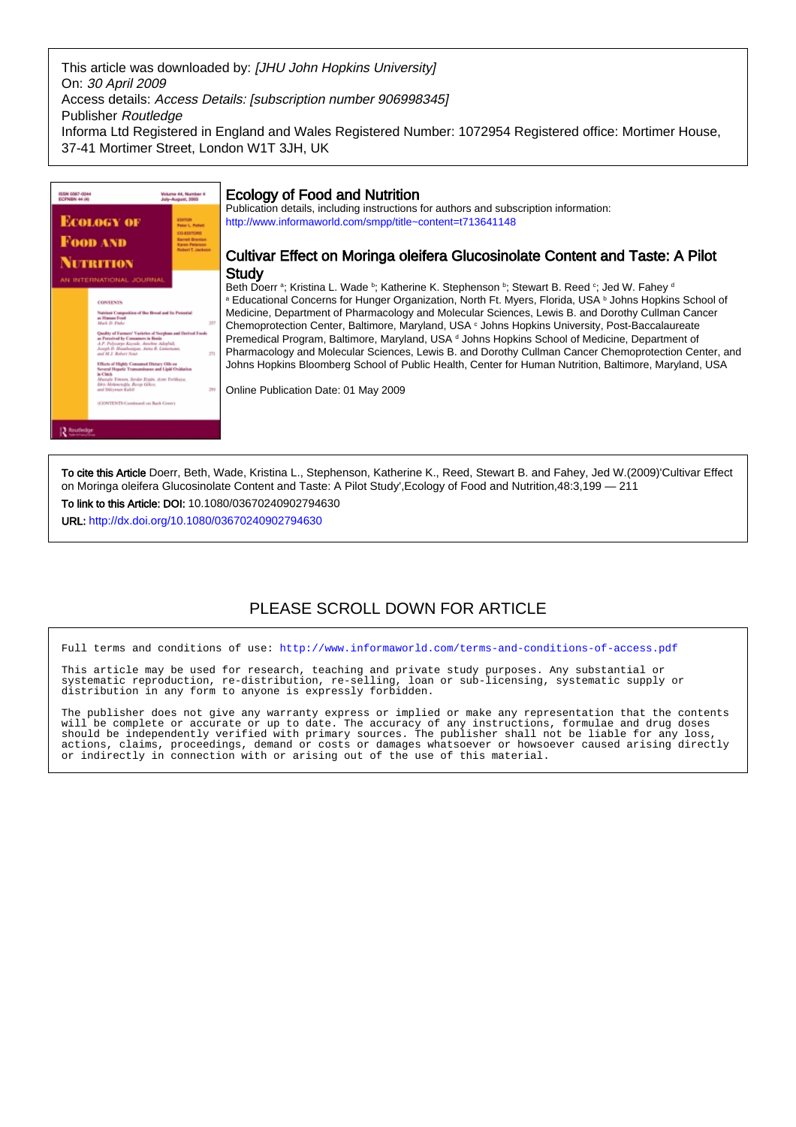This article was downloaded by: [JHU John Hopkins University] On: 30 April 2009 Access details: Access Details: [subscription number 906998345] Publisher Routledge Informa Ltd Registered in England and Wales Registered Number: 1072954 Registered office: Mortimer House, 37-41 Mortimer Street, London W1T 3JH, UK



To cite this Article Doerr, Beth, Wade, Kristina L., Stephenson, Katherine K., Reed, Stewart B. and Fahey, Jed W.(2009)'Cultivar Effect on Moringa oleifera Glucosinolate Content and Taste: A Pilot Study',Ecology of Food and Nutrition,48:3,199 — 211

To link to this Article: DOI: 10.1080/03670240902794630

URL: <http://dx.doi.org/10.1080/03670240902794630>

# PLEASE SCROLL DOWN FOR ARTICLE

Full terms and conditions of use:<http://www.informaworld.com/terms-and-conditions-of-access.pdf>

This article may be used for research, teaching and private study purposes. Any substantial or systematic reproduction, re-distribution, re-selling, loan or sub-licensing, systematic supply or distribution in any form to anyone is expressly forbidden.

The publisher does not give any warranty express or implied or make any representation that the contents will be complete or accurate or up to date. The accuracy of any instructions, formulae and drug doses should be independently verified with primary sources. The publisher shall not be liable for any loss, actions, claims, proceedings, demand or costs or damages whatsoever or howsoever caused arising directly or indirectly in connection with or arising out of the use of this material.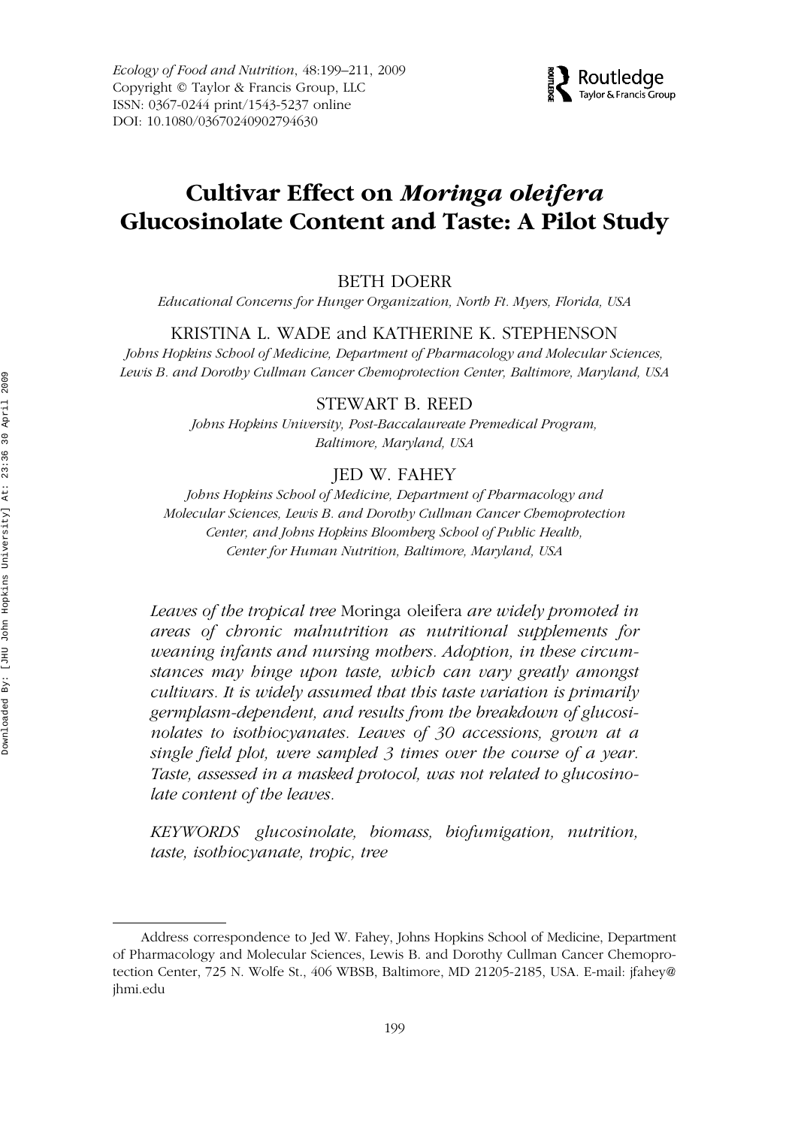*Ecology of Food and Nutrition*, 48:199–211, 2009 Copyright © Taylor & Francis Group, LLC ISSN: 0367-0244 print/1543-5237 online DOI: 10.1080/03670240902794630



# GEFN 0367-0244 1543-5237Ecology of Food and Nutrition, Vol. 48, No. 3, March 2009: pp. 1–20 Nutrition **Cultivar Effect on** *Moringa oleifera* **Glucosinolate Content and Taste: A Pilot Study**

#### Glucosinolates and Taste of B. Doerr et al. *Moringa oleifera* BETH DOERR

*Educational Concerns for Hunger Organization, North Ft. Myers, Florida, USA*

#### KRISTINA L. WADE and KATHERINE K. STEPHENSON

*Johns Hopkins School of Medicine, Department of Pharmacology and Molecular Sciences, Lewis B. and Dorothy Cullman Cancer Chemoprotection Center, Baltimore, Maryland, USA*

#### STEWART B. REED

*Johns Hopkins University, Post-Baccalaureate Premedical Program, Baltimore, Maryland, USA*

## JED W. FAHEY

*Johns Hopkins School of Medicine, Department of Pharmacology and Molecular Sciences, Lewis B. and Dorothy Cullman Cancer Chemoprotection Center, and Johns Hopkins Bloomberg School of Public Health, Center for Human Nutrition, Baltimore, Maryland, USA*

*Leaves of the tropical tree* Moringa oleifera *are widely promoted in areas of chronic malnutrition as nutritional supplements for weaning infants and nursing mothers. Adoption, in these circumstances may hinge upon taste, which can vary greatly amongst cultivars. It is widely assumed that this taste variation is primarily germplasm-dependent, and results from the breakdown of glucosinolates to isothiocyanates. Leaves of 30 accessions, grown at a single field plot, were sampled 3 times over the course of a year. Taste, assessed in a masked protocol, was not related to glucosinolate content of the leaves.*

*KEYWORDS glucosinolate, biomass, biofumigation, nutrition, taste, isothiocyanate, tropic, tree*

Address correspondence to Jed W. Fahey, Johns Hopkins School of Medicine, Department of Pharmacology and Molecular Sciences, Lewis B. and Dorothy Cullman Cancer Chemoprotection Center, 725 N. Wolfe St., 406 WBSB, Baltimore, MD 21205-2185, USA. E-mail: jfahey@ jhmi.edu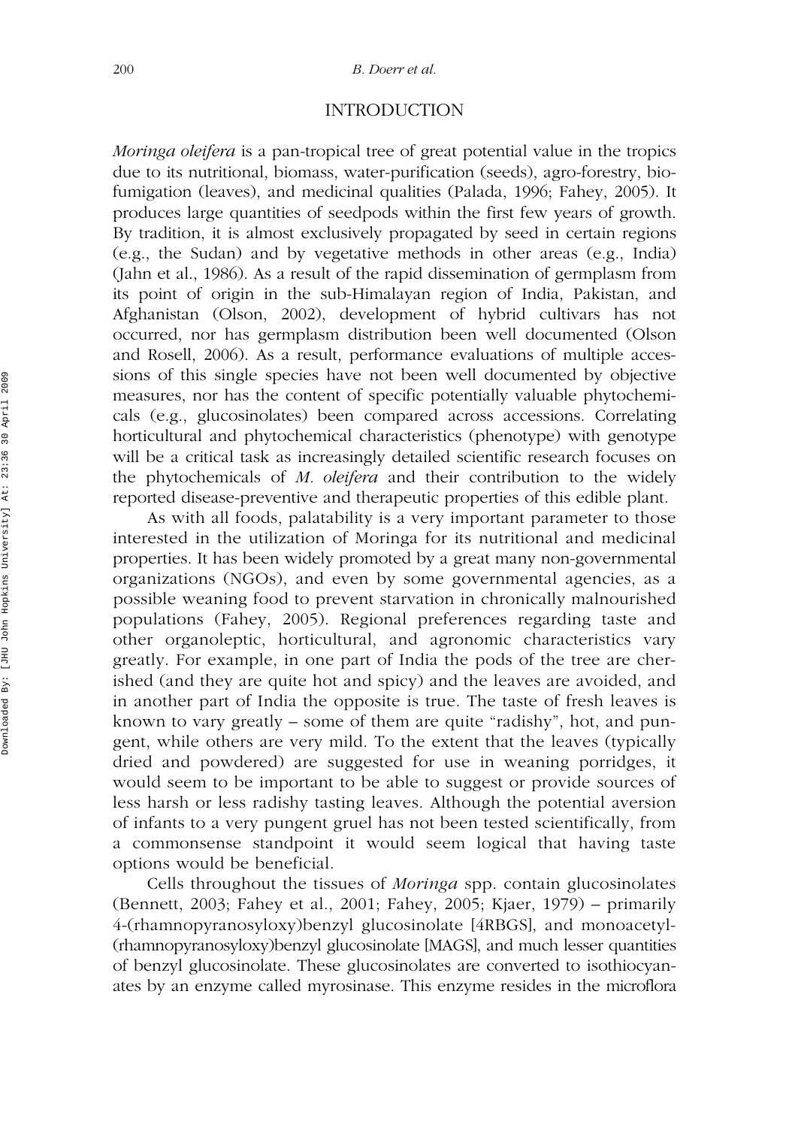# INTRODUCTION

*Moringa oleifera* is a pan-tropical tree of great potential value in the tropics due to its nutritional, biomass, water-purification (seeds), agro-forestry, biofumigation (leaves), and medicinal qualities (Palada, 1996; Fahey, 2005). It produces large quantities of seedpods within the first few years of growth. By tradition, it is almost exclusively propagated by seed in certain regions (e.g., the Sudan) and by vegetative methods in other areas (e.g., India) (Jahn et al., 1986). As a result of the rapid dissemination of germplasm from its point of origin in the sub-Himalayan region of India, Pakistan, and Afghanistan (Olson, 2002), development of hybrid cultivars has not occurred, nor has germplasm distribution been well documented (Olson and Rosell, 2006). As a result, performance evaluations of multiple accessions of this single species have not been well documented by objective measures, nor has the content of specific potentially valuable phytochemicals (e.g., glucosinolates) been compared across accessions. Correlating horticultural and phytochemical characteristics (phenotype) with genotype will be a critical task as increasingly detailed scientific research focuses on the phytochemicals of *M. oleifera* and their contribution to the widely reported disease-preventive and therapeutic properties of this edible plant.

As with all foods, palatability is a very important parameter to those interested in the utilization of Moringa for its nutritional and medicinal properties. It has been widely promoted by a great many non-governmental organizations (NGOs), and even by some governmental agencies, as a possible weaning food to prevent starvation in chronically malnourished populations (Fahey, 2005). Regional preferences regarding taste and other organoleptic, horticultural, and agronomic characteristics vary greatly. For example, in one part of India the pods of the tree are cherished (and they are quite hot and spicy) and the leaves are avoided, and in another part of India the opposite is true. The taste of fresh leaves is known to vary greatly – some of them are quite "radishy", hot, and pungent, while others are very mild. To the extent that the leaves (typically dried and powdered) are suggested for use in weaning porridges, it would seem to be important to be able to suggest or provide sources of less harsh or less radishy tasting leaves. Although the potential aversion of infants to a very pungent gruel has not been tested scientifically, from a commonsense standpoint it would seem logical that having taste options would be beneficial.

Cells throughout the tissues of *Moringa* spp. contain glucosinolates (Bennett, 2003; Fahey et al., 2001; Fahey, 2005; Kjaer, 1979) – primarily 4-(rhamnopyranosyloxy)benzyl glucosinolate [4RBGS], and monoacetyl- (rhamnopyranosyloxy)benzyl glucosinolate [MAGS], and much lesser quantities of benzyl glucosinolate. These glucosinolates are converted to isothiocyanates by an enzyme called myrosinase. This enzyme resides in the microflora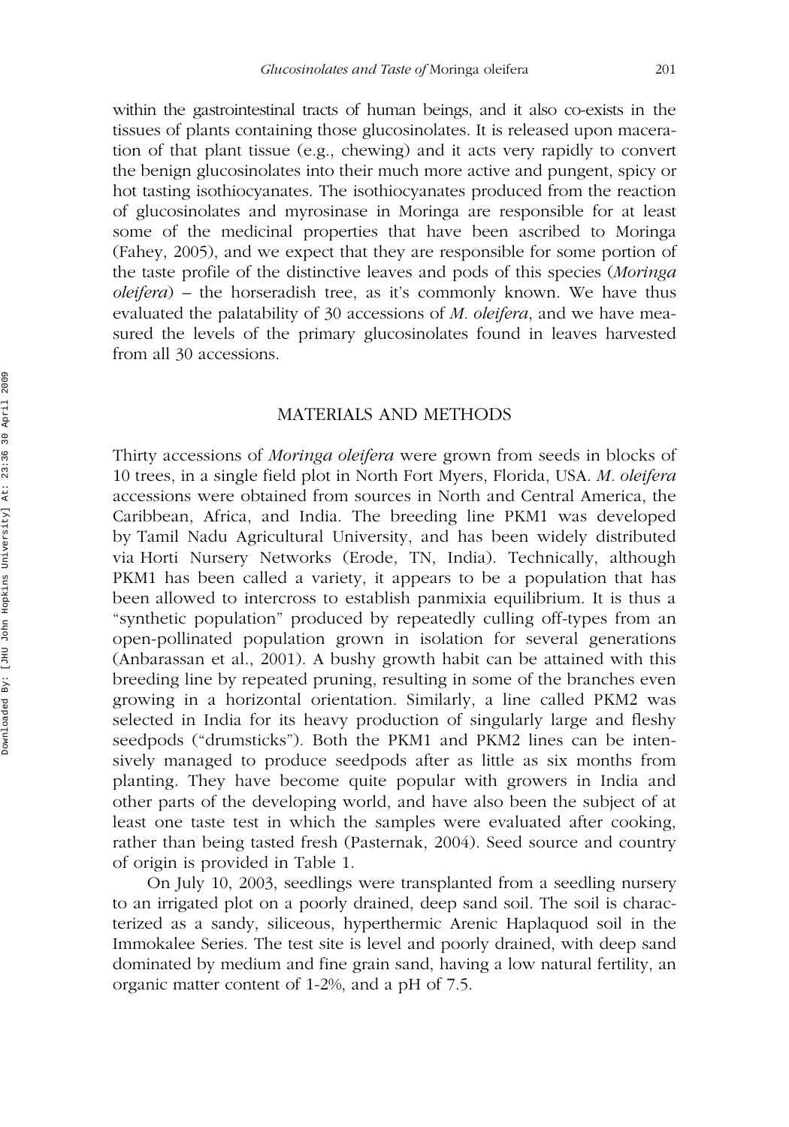within the gastrointestinal tracts of human beings, and it also co-exists in the tissues of plants containing those glucosinolates. It is released upon maceration of that plant tissue (e.g., chewing) and it acts very rapidly to convert the benign glucosinolates into their much more active and pungent, spicy or hot tasting isothiocyanates. The isothiocyanates produced from the reaction of glucosinolates and myrosinase in Moringa are responsible for at least some of the medicinal properties that have been ascribed to Moringa (Fahey, 2005), and we expect that they are responsible for some portion of the taste profile of the distinctive leaves and pods of this species (*Moringa oleifera*) – the horseradish tree, as it's commonly known. We have thus evaluated the palatability of 30 accessions of *M. oleifera*, and we have measured the levels of the primary glucosinolates found in leaves harvested from all 30 accessions.

#### MATERIALS AND METHODS

Thirty accessions of *Moringa oleifera* were grown from seeds in blocks of 10 trees, in a single field plot in North Fort Myers, Florida, USA. *M. oleifera* accessions were obtained from sources in North and Central America, the Caribbean, Africa, and India. The breeding line PKM1 was developed by Tamil Nadu Agricultural University, and has been widely distributed via Horti Nursery Networks (Erode, TN, India). Technically, although PKM1 has been called a variety, it appears to be a population that has been allowed to intercross to establish panmixia equilibrium. It is thus a "synthetic population" produced by repeatedly culling off-types from an open-pollinated population grown in isolation for several generations (Anbarassan et al., 2001). A bushy growth habit can be attained with this breeding line by repeated pruning, resulting in some of the branches even growing in a horizontal orientation. Similarly, a line called PKM2 was selected in India for its heavy production of singularly large and fleshy seedpods ("drumsticks"). Both the PKM1 and PKM2 lines can be intensively managed to produce seedpods after as little as six months from planting. They have become quite popular with growers in India and other parts of the developing world, and have also been the subject of at least one taste test in which the samples were evaluated after cooking, rather than being tasted fresh (Pasternak, 2004). Seed source and country of origin is provided in Table 1.

On July 10, 2003, seedlings were transplanted from a seedling nursery to an irrigated plot on a poorly drained, deep sand soil. The soil is characterized as a sandy, siliceous, hyperthermic Arenic Haplaquod soil in the Immokalee Series. The test site is level and poorly drained, with deep sand dominated by medium and fine grain sand, having a low natural fertility, an organic matter content of 1-2%, and a pH of 7.5.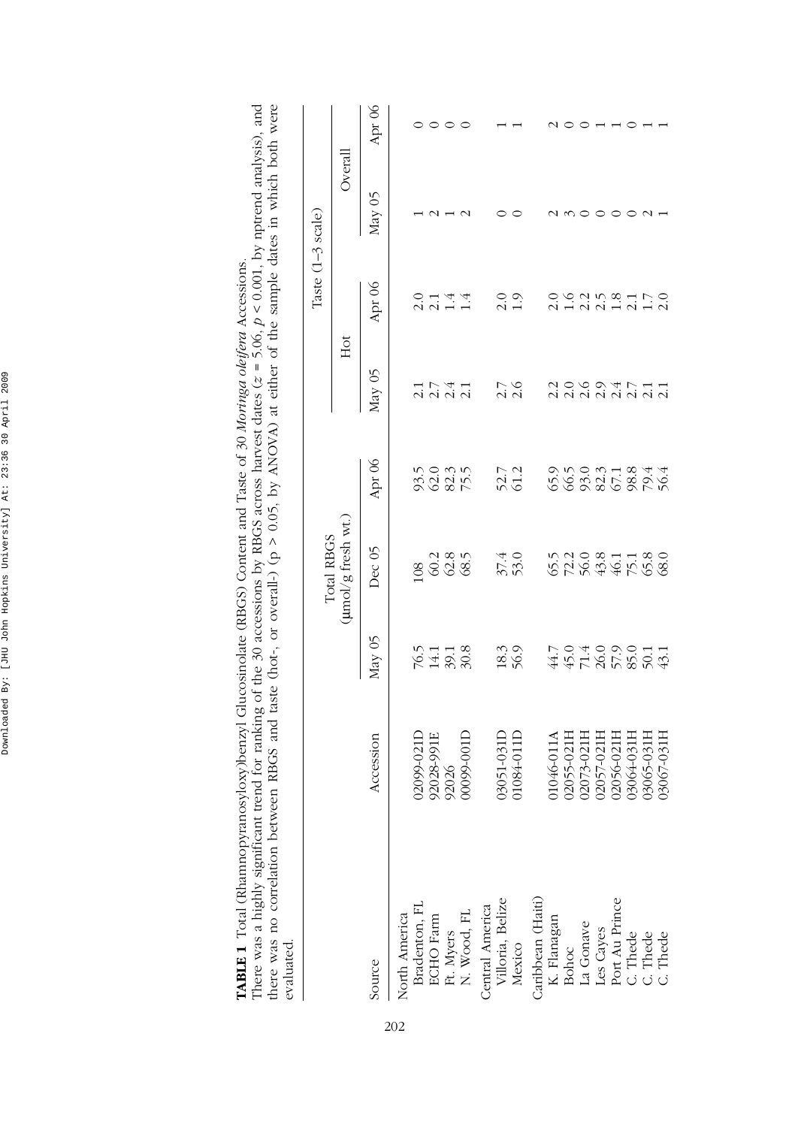| evaluated                                                                              |            |                            |                            |                         |                              |                      |                   |        |
|----------------------------------------------------------------------------------------|------------|----------------------------|----------------------------|-------------------------|------------------------------|----------------------|-------------------|--------|
|                                                                                        |            |                            | Total RBGS                 |                         |                              |                      | Taste (1-3 scale) |        |
|                                                                                        |            |                            | (umol/g fresh wt.)         |                         | Hot                          |                      | Overall           |        |
| Source                                                                                 | Accession  | May 05                     | Dec <sub>05</sub>          | Apr 06                  | May 05                       | Apr 06               | May 05            | Apr 06 |
| North America<br>Bradenton, FL<br>ECHO Farm<br>Ft. Myers<br>N. Wood, FL<br>N. Wood, FL |            |                            |                            |                         |                              |                      |                   |        |
|                                                                                        | 02099-0211 |                            |                            |                         |                              |                      |                   |        |
|                                                                                        | 92028-991E |                            |                            |                         |                              |                      |                   |        |
|                                                                                        | 92026      |                            | 03<br>03<br>03<br>03<br>03 | 5<br>2023<br>2025       | 1 1 4 1<br>1 1 1 1 1         | $0.144$<br>$2.144$   |                   |        |
|                                                                                        | 00099-001  | $76.5$<br>$14.1$<br>$30.8$ |                            |                         |                              |                      |                   |        |
|                                                                                        |            |                            |                            |                         |                              |                      |                   |        |
| Central America<br>Villoria, Belize                                                    | 03051-0311 |                            | $37.4$<br>53.0             | 52.7                    | 2.7<br>2.6                   | $\frac{0}{2}$        |                   |        |
| Mexico                                                                                 | 01084-0111 | 18.3<br>56.9               |                            |                         |                              | $\overline{1.9}$     |                   |        |
| Caribbean (Haiti)                                                                      |            |                            |                            |                         |                              |                      |                   |        |
|                                                                                        | 01046-011A |                            |                            |                         |                              |                      |                   |        |
| K. Flanagan<br>Bohoc<br>La Gonave                                                      | 02055-021  | $447780011$<br>$447780011$ | 578345789<br>578345788     | 5650371844<br>565825875 | 2000 4 7 4 4<br>2000 4 7 4 7 | $\frac{0}{1.6}$      |                   |        |
|                                                                                        | 02073-021F |                            |                            |                         |                              |                      |                   |        |
| Les Cayes<br>Port Au Prince<br>C. Thede<br>C. Thede                                    | 02057-0211 |                            |                            |                         |                              | $215000000000000000$ |                   |        |
|                                                                                        | 02056-0211 |                            |                            |                         |                              |                      |                   |        |
|                                                                                        | 03064-0311 |                            |                            |                         |                              |                      |                   |        |
|                                                                                        | 03065-031F |                            |                            |                         |                              |                      |                   |        |
|                                                                                        | 03067-031H |                            |                            |                         |                              |                      |                   |        |

There was a highly significant trend for ranking of the 30 accessions by RBGS across harvest dates ( $z = 5.06$ ,  $p < 0.001$ , by nptrend analysis), and there was no correlation between RBGS and taste (hot-, or overall-) ( $p >$ There was a highly significant trend for ranking of the 30 accessions by RBGS across harvest dates ( $z = 5.06$ ,  $p < 0.001$ , by nptrend analysis), and there was no correlation between RBGS and taste (hot-, or overall-) (p > 0.05, by ANOVA) at either of the sample dates in which both were **TABLE 1** Total (Rhamnopyranosyloxy)benzyl Glucosinolate (RBGS) Content and Taste of 30 *Moringa oleifera* Accessions. TABLE 1 Total (Rhamnopyranosyloxy)benzyl Glucosinolate (RBGS) Content and Taste of 30 Moringa oleifera Accessions. evaluated.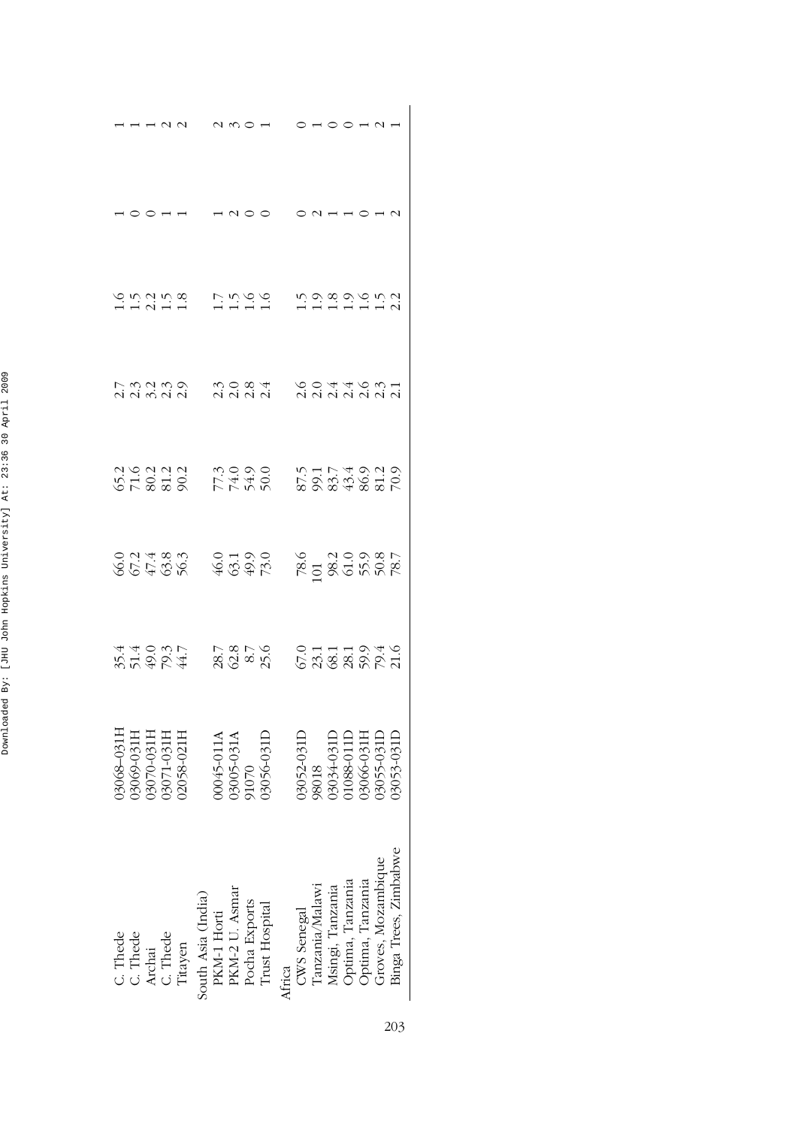| S n n n m<br>H n n H n                                |                                                                                        | s<br>Sagay sa                                                                                                                                     |
|-------------------------------------------------------|----------------------------------------------------------------------------------------|---------------------------------------------------------------------------------------------------------------------------------------------------|
| r mango<br>Nanan                                      | com<br>Vidici                                                                          | coadowi<br>Componi                                                                                                                                |
| 319313<br>51828 RT436                                 |                                                                                        | 575749219<br>575749219<br>575749519                                                                                                               |
|                                                       | 66468 4645<br>66468 4646                                                               | 78.6<br>00 30 30 30 7<br>00 30 50 7<br>7                                                                                                          |
|                                                       | 85422 8622<br>2004 8622                                                                | $67.119889940$<br>$67.119940$                                                                                                                     |
| 1160-070<br>03071-031H<br>02058-021H<br>$-8 - 031$    | 00045-011A<br>03005-031A<br>91070<br>03056-031L                                        | J3034-031F<br>1088-0111<br>3066-0311<br>3052-031<br>98018                                                                                         |
| C. Thede<br>C. Thede<br>Archai<br>C. Thede<br>Titayen | PKM-1 Horti<br>PKM-2 U. Asmar<br>Pocha Exports<br>Trust Hospital<br>South Asia (India) | Binga Trees, Zimbabwe<br>CWS Senegal<br>Tanzania/Malawi<br>Msingi, Tanzania<br>Optima, Tanzania<br>Optima, Tanzania<br>Optima, Tanzania<br>Africa |

| i                                         |
|-------------------------------------------|
| ı<br>í<br>l                               |
| ¢<br>¢                                    |
| ı                                         |
| At                                        |
| l<br>i<br>l<br>I<br>l<br>ı<br>l<br>İ<br>l |
| ı<br>l<br>l<br>j<br>İ<br>I                |
| ı<br>ı<br>Ï<br>ś<br>I                     |
| i<br>Ï                                    |
| ï<br>i<br>ı<br>I                          |
| ۱<br>I<br>Ï<br>I                          |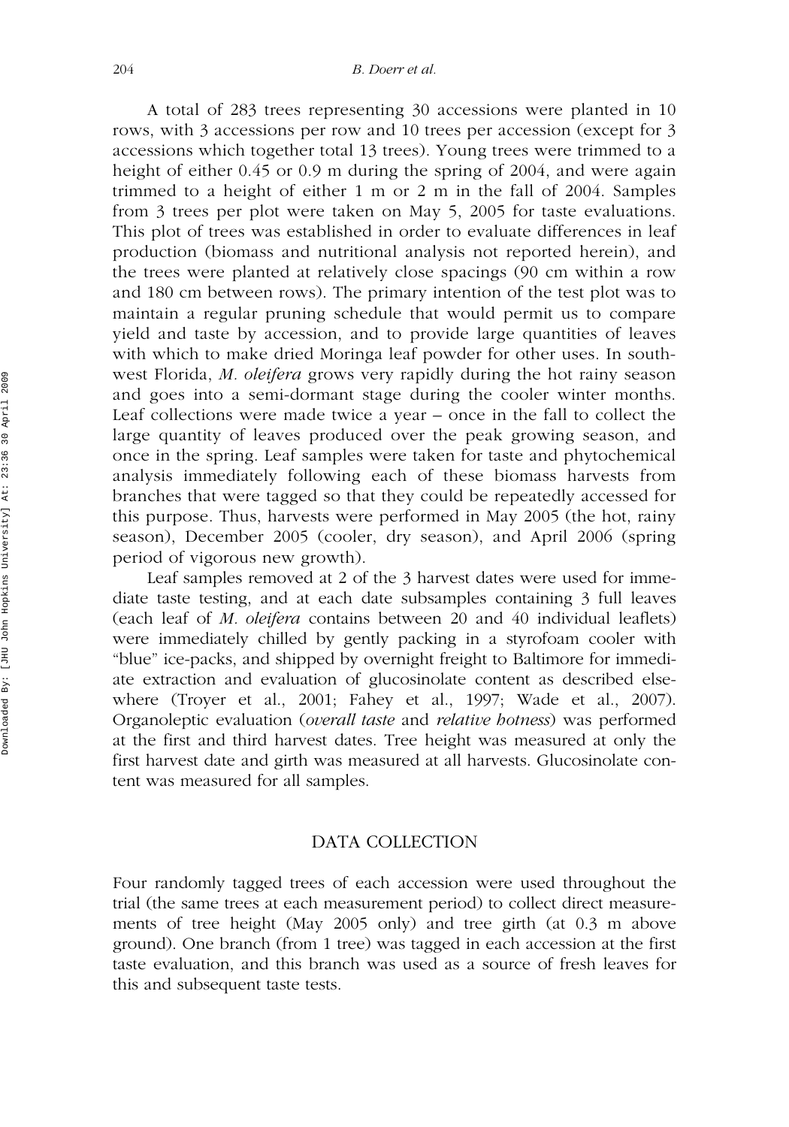A total of 283 trees representing 30 accessions were planted in 10 rows, with 3 accessions per row and 10 trees per accession (except for 3 accessions which together total 13 trees). Young trees were trimmed to a height of either 0.45 or 0.9 m during the spring of 2004, and were again trimmed to a height of either 1 m or 2 m in the fall of 2004. Samples from 3 trees per plot were taken on May 5, 2005 for taste evaluations. This plot of trees was established in order to evaluate differences in leaf production (biomass and nutritional analysis not reported herein), and the trees were planted at relatively close spacings (90 cm within a row and 180 cm between rows). The primary intention of the test plot was to maintain a regular pruning schedule that would permit us to compare yield and taste by accession, and to provide large quantities of leaves with which to make dried Moringa leaf powder for other uses. In southwest Florida, *M. oleifera* grows very rapidly during the hot rainy season and goes into a semi-dormant stage during the cooler winter months. Leaf collections were made twice a year – once in the fall to collect the large quantity of leaves produced over the peak growing season, and once in the spring. Leaf samples were taken for taste and phytochemical analysis immediately following each of these biomass harvests from branches that were tagged so that they could be repeatedly accessed for this purpose. Thus, harvests were performed in May 2005 (the hot, rainy season), December 2005 (cooler, dry season), and April 2006 (spring period of vigorous new growth).

Leaf samples removed at 2 of the 3 harvest dates were used for immediate taste testing, and at each date subsamples containing 3 full leaves (each leaf of *M. oleifera* contains between 20 and 40 individual leaflets) were immediately chilled by gently packing in a styrofoam cooler with "blue" ice-packs, and shipped by overnight freight to Baltimore for immediate extraction and evaluation of glucosinolate content as described elsewhere (Troyer et al., 2001; Fahey et al., 1997; Wade et al., 2007). Organoleptic evaluation (*overall taste* and *relative hotness*) was performed at the first and third harvest dates. Tree height was measured at only the first harvest date and girth was measured at all harvests. Glucosinolate content was measured for all samples.

#### DATA COLLECTION

Four randomly tagged trees of each accession were used throughout the trial (the same trees at each measurement period) to collect direct measurements of tree height (May 2005 only) and tree girth (at 0.3 m above ground). One branch (from 1 tree) was tagged in each accession at the first taste evaluation, and this branch was used as a source of fresh leaves for this and subsequent taste tests.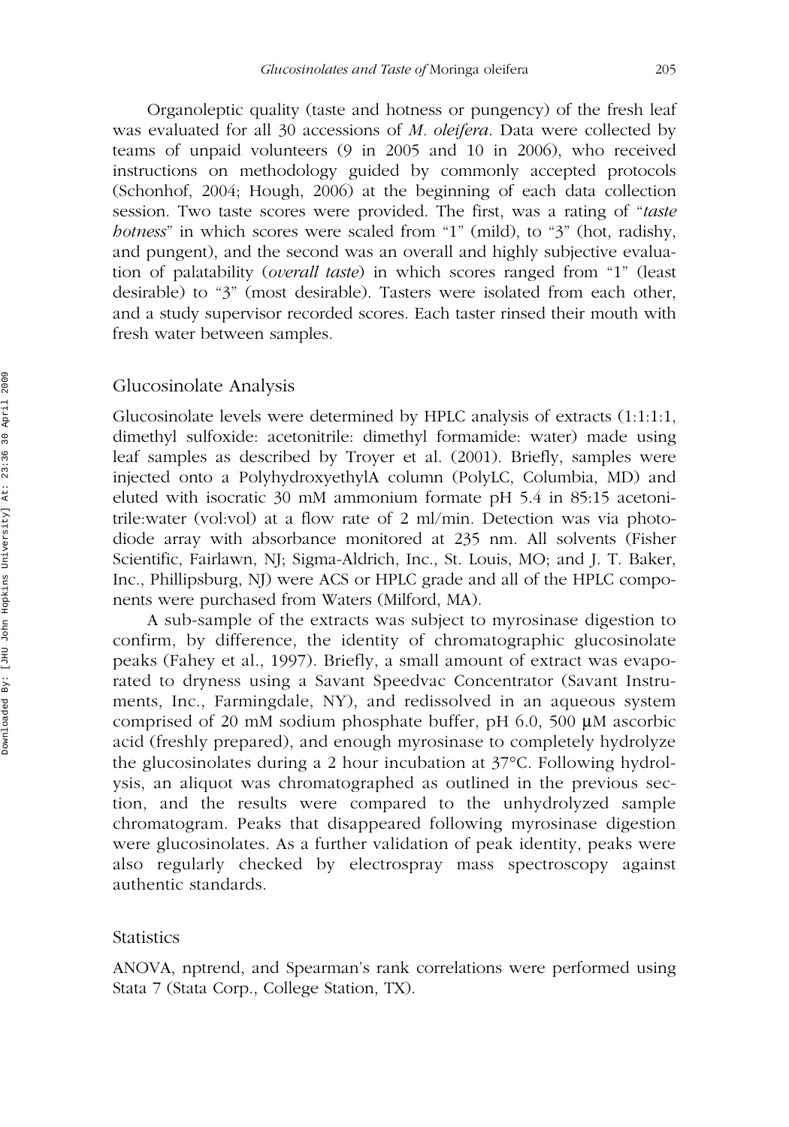Organoleptic quality (taste and hotness or pungency) of the fresh leaf was evaluated for all 30 accessions of *M. oleifera*. Data were collected by teams of unpaid volunteers (9 in 2005 and 10 in 2006), who received instructions on methodology guided by commonly accepted protocols (Schonhof, 2004; Hough, 2006) at the beginning of each data collection session. Two taste scores were provided. The first, was a rating of "*taste hotness*" in which scores were scaled from "1" (mild), to "3" (hot, radishy, and pungent), and the second was an overall and highly subjective evaluation of palatability (*overall taste*) in which scores ranged from "1" (least desirable) to "3" (most desirable). Tasters were isolated from each other, and a study supervisor recorded scores. Each taster rinsed their mouth with fresh water between samples.

#### Glucosinolate Analysis

Glucosinolate levels were determined by HPLC analysis of extracts (1:1:1:1, dimethyl sulfoxide: acetonitrile: dimethyl formamide: water) made using leaf samples as described by Troyer et al. (2001). Briefly, samples were injected onto a PolyhydroxyethylA column (PolyLC, Columbia, MD) and eluted with isocratic 30 mM ammonium formate pH 5.4 in 85:15 acetonitrile:water (vol:vol) at a flow rate of 2 ml/min. Detection was via photodiode array with absorbance monitored at 235 nm. All solvents (Fisher Scientific, Fairlawn, NJ; Sigma-Aldrich, Inc., St. Louis, MO; and J. T. Baker, Inc., Phillipsburg, NJ) were ACS or HPLC grade and all of the HPLC components were purchased from Waters (Milford, MA).

A sub-sample of the extracts was subject to myrosinase digestion to confirm, by difference, the identity of chromatographic glucosinolate peaks (Fahey et al., 1997). Briefly, a small amount of extract was evaporated to dryness using a Savant Speedvac Concentrator (Savant Instruments, Inc., Farmingdale, NY), and redissolved in an aqueous system comprised of 20 mM sodium phosphate buffer, pH 6.0, 500 μM ascorbic acid (freshly prepared), and enough myrosinase to completely hydrolyze the glucosinolates during a 2 hour incubation at 37°C. Following hydrolysis, an aliquot was chromatographed as outlined in the previous section, and the results were compared to the unhydrolyzed sample chromatogram. Peaks that disappeared following myrosinase digestion were glucosinolates. As a further validation of peak identity, peaks were also regularly checked by electrospray mass spectroscopy against authentic standards.

#### Statistics

ANOVA, nptrend, and Spearman's rank correlations were performed using Stata 7 (Stata Corp., College Station, TX).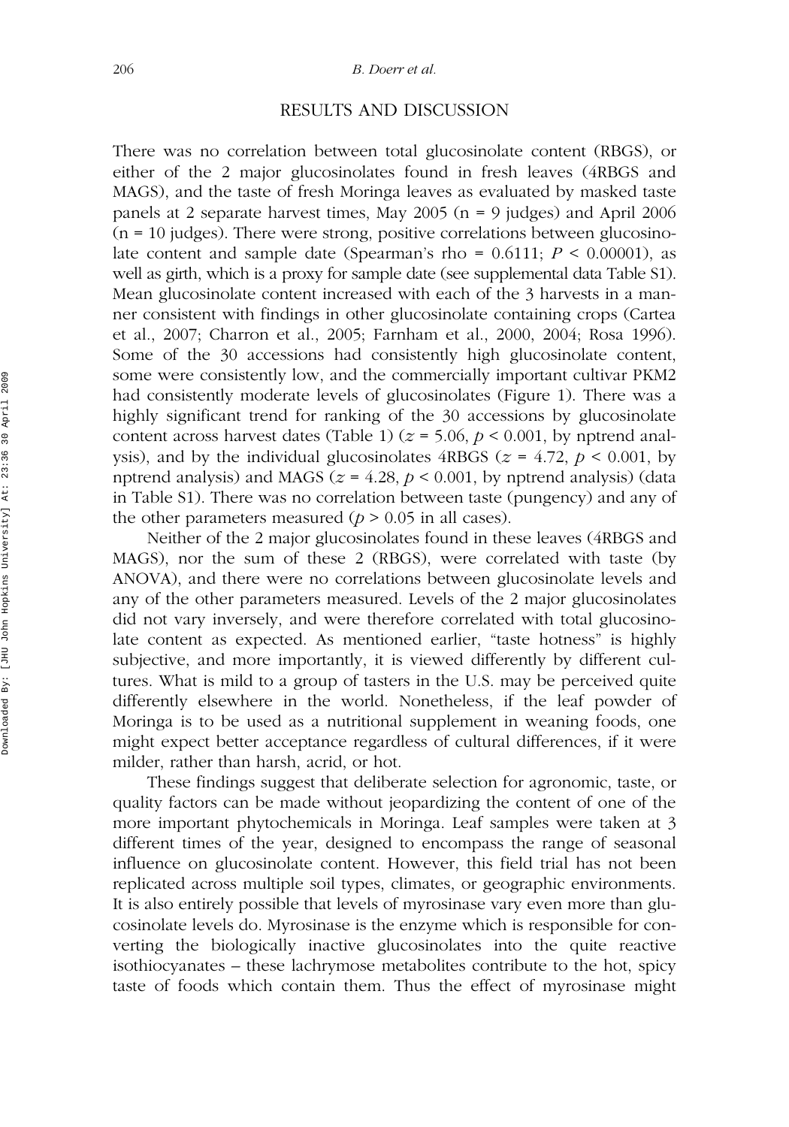## RESULTS AND DISCUSSION

There was no correlation between total glucosinolate content (RBGS), or either of the 2 major glucosinolates found in fresh leaves (4RBGS and MAGS), and the taste of fresh Moringa leaves as evaluated by masked taste panels at 2 separate harvest times, May 2005 ( $n = 9$  judges) and April 2006  $(n = 10$  judges). There were strong, positive correlations between glucosinolate content and sample date (Spearman's rho =  $0.6111$ ;  $P < 0.00001$ ), as well as girth, which is a proxy for sample date (see supplemental data Table S1). Mean glucosinolate content increased with each of the 3 harvests in a manner consistent with findings in other glucosinolate containing crops (Cartea et al., 2007; Charron et al., 2005; Farnham et al., 2000, 2004; Rosa 1996). Some of the 30 accessions had consistently high glucosinolate content, some were consistently low, and the commercially important cultivar PKM2 had consistently moderate levels of glucosinolates (Figure 1). There was a highly significant trend for ranking of the 30 accessions by glucosinolate content across harvest dates (Table 1) ( $z = 5.06$ ,  $p < 0.001$ , by nptrend analysis), and by the individual glucosinolates  $4RBGS$  ( $z = 4.72$ ,  $p < 0.001$ , by nptrend analysis) and MAGS ( $z = 4.28$ ,  $p < 0.001$ , by nptrend analysis) (data in Table S1). There was no correlation between taste (pungency) and any of the other parameters measured  $(p > 0.05$  in all cases).

Neither of the 2 major glucosinolates found in these leaves (4RBGS and MAGS), nor the sum of these 2 (RBGS), were correlated with taste (by ANOVA), and there were no correlations between glucosinolate levels and any of the other parameters measured. Levels of the 2 major glucosinolates did not vary inversely, and were therefore correlated with total glucosinolate content as expected. As mentioned earlier, "taste hotness" is highly subjective, and more importantly, it is viewed differently by different cultures. What is mild to a group of tasters in the U.S. may be perceived quite differently elsewhere in the world. Nonetheless, if the leaf powder of Moringa is to be used as a nutritional supplement in weaning foods, one might expect better acceptance regardless of cultural differences, if it were milder, rather than harsh, acrid, or hot.

These findings suggest that deliberate selection for agronomic, taste, or quality factors can be made without jeopardizing the content of one of the more important phytochemicals in Moringa. Leaf samples were taken at 3 different times of the year, designed to encompass the range of seasonal influence on glucosinolate content. However, this field trial has not been replicated across multiple soil types, climates, or geographic environments. It is also entirely possible that levels of myrosinase vary even more than glucosinolate levels do. Myrosinase is the enzyme which is responsible for converting the biologically inactive glucosinolates into the quite reactive isothiocyanates – these lachrymose metabolites contribute to the hot, spicy taste of foods which contain them. Thus the effect of myrosinase might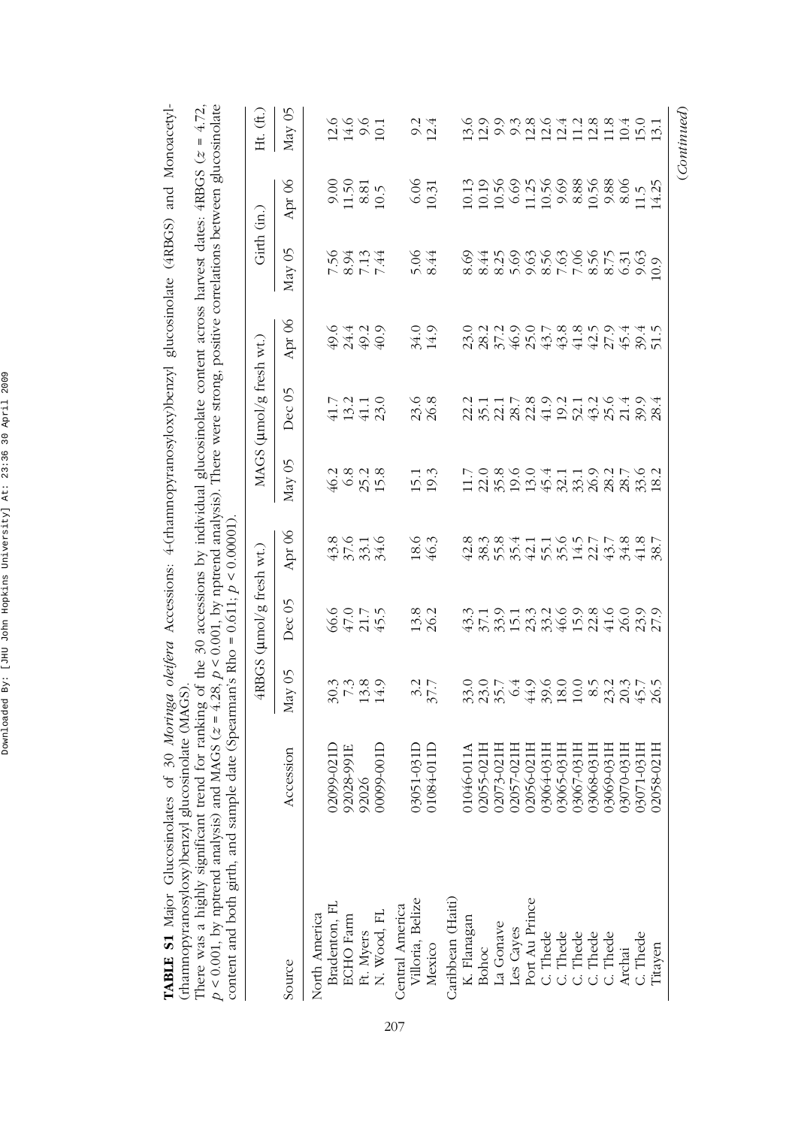| $p < 0.001$ , by nptrend analysis) and MAGS ( $z = 4.28$ , $p < 0.001$ , by nptrend analysis). There were strong, positive correlations between glucosinolate<br>There was a highly significant trend for ranking of the 30 accessions by individual glucosinolate content across harvest dates: $4RBG$ $(z = 4.72$ ,<br>content and both girth, and sample date (Spearman's Rho = $0.611$ ; $p < 0.000001$ )<br>(rhamnopyranosyloxy)benzyl glucosinolate (MAGS)<br>TABLE S1 Major Glucosinolates |                     |                               |                                  |                                  |               |                                             |                             | of 30 Moringa oleifera Accessions: 4-(rhamnopyranosyloxy)benzyl glucosinolate (4RBGS) and Monoacetyl- |                                    |                                                                |
|---------------------------------------------------------------------------------------------------------------------------------------------------------------------------------------------------------------------------------------------------------------------------------------------------------------------------------------------------------------------------------------------------------------------------------------------------------------------------------------------------|---------------------|-------------------------------|----------------------------------|----------------------------------|---------------|---------------------------------------------|-----------------------------|-------------------------------------------------------------------------------------------------------|------------------------------------|----------------------------------------------------------------|
|                                                                                                                                                                                                                                                                                                                                                                                                                                                                                                   |                     |                               | $4RBGS$ ( $\mu$ mol/g fresh wt.) |                                  |               | MAGS (µmol/g fresh wt.)                     |                             | Girth (in.)                                                                                           |                                    | Ht. (ft.)                                                      |
| Source                                                                                                                                                                                                                                                                                                                                                                                                                                                                                            | Accession           | May 05                        | Dec 05                           | Apr 06                           | May 05        | Dec <sub>05</sub>                           | Apr 06                      | May 05                                                                                                | Apr 06                             | May 05                                                         |
| North America                                                                                                                                                                                                                                                                                                                                                                                                                                                                                     |                     |                               |                                  |                                  |               |                                             |                             |                                                                                                       |                                    |                                                                |
| Bradenton, FL                                                                                                                                                                                                                                                                                                                                                                                                                                                                                     | 02099-021D          |                               | 66075<br>6575                    |                                  | 46.2          | 41.7                                        | 6.6                         |                                                                                                       |                                    |                                                                |
| <b>ECHO</b> Farm                                                                                                                                                                                                                                                                                                                                                                                                                                                                                  |                     |                               |                                  |                                  |               |                                             |                             |                                                                                                       | 0.50                               |                                                                |
| Ft. Myers                                                                                                                                                                                                                                                                                                                                                                                                                                                                                         | 92028-991E<br>92026 | $30.780$<br>$7.490$<br>$14.7$ |                                  | $45, 24$<br>$45, 24$<br>$45, 24$ | $68$<br>$258$ | $\begin{array}{c} 13.2 \\ 41.1 \end{array}$ | 24.29<br>49.99              | 18434<br>1842<br>1957                                                                                 | $\frac{8.81}{10.5}$                | 1466<br>1466<br>10.1                                           |
| N. Wood, FL                                                                                                                                                                                                                                                                                                                                                                                                                                                                                       | 00099-001D          |                               |                                  |                                  |               | 23.0                                        |                             |                                                                                                       |                                    |                                                                |
| Villoria, Belize<br>Central America                                                                                                                                                                                                                                                                                                                                                                                                                                                               | 03051-031D          |                               |                                  | 18.6                             | 15.1          |                                             |                             | 5.06                                                                                                  | 6.06                               |                                                                |
| Mexico                                                                                                                                                                                                                                                                                                                                                                                                                                                                                            | 01084-011D          | 37.7                          | 13.8<br>26.2                     | 46.3                             | 19.3          | 23.6<br>26.8                                | 34.0<br>14.9                | 8.44                                                                                                  | 10.31                              | $9.\overline{4}$<br>12.4                                       |
| Caribbean (Haiti)                                                                                                                                                                                                                                                                                                                                                                                                                                                                                 |                     |                               |                                  |                                  |               |                                             |                             |                                                                                                       |                                    |                                                                |
| K. Flanagan                                                                                                                                                                                                                                                                                                                                                                                                                                                                                       | 01046-011A          |                               | 43.3                             | 42.8                             | 11.7          | 22.2                                        | 23.0                        | 8.69                                                                                                  |                                    | 13.6                                                           |
| Bohoc                                                                                                                                                                                                                                                                                                                                                                                                                                                                                             | 02055-021H          | 0,0174<br>30,054<br>30,054    | $37.1$<br>$35.9$<br>$15.1$       |                                  |               | $35.1$<br>$28.7$                            | $28.2$<br>$3.7.9$<br>$46.9$ | 8.44                                                                                                  | 10.13<br>10.56<br>10.56<br>11.0.56 | $12.9$<br>$9.3$<br>$0.3$<br>$0.8$<br>$0.8$                     |
| La Gonave                                                                                                                                                                                                                                                                                                                                                                                                                                                                                         | 02073-021H          |                               |                                  |                                  |               |                                             |                             |                                                                                                       |                                    |                                                                |
| Les Cayes                                                                                                                                                                                                                                                                                                                                                                                                                                                                                         | 02057-021H          |                               |                                  | 38.3<br>55.4                     |               |                                             |                             | $29988$<br>$8998$                                                                                     |                                    |                                                                |
| Port Au Prince                                                                                                                                                                                                                                                                                                                                                                                                                                                                                    | 02056-021H          | 44.9                          | 23.3                             | 42.1                             |               | $22.8$                                      | 25.0                        |                                                                                                       |                                    |                                                                |
| C. Thede                                                                                                                                                                                                                                                                                                                                                                                                                                                                                          | 03064-031H          | sana<br>Sana<br>Sana          | 33.2                             |                                  |               | 41.9                                        | $43.7$                      |                                                                                                       |                                    | $\begin{array}{c} 12.6 \\ 12.1 \\ 11.8 \\ 11.8 \\ \end{array}$ |
| C. Thede                                                                                                                                                                                                                                                                                                                                                                                                                                                                                          | 03065-031H          |                               |                                  |                                  |               | 2<br>22326<br>2836                          | $43.8\,$                    | $7.887$<br>$7.887$<br>$8.75$                                                                          | 9.88<br>8.88<br>10.56              |                                                                |
| C. Thede                                                                                                                                                                                                                                                                                                                                                                                                                                                                                          | 03067-031H          |                               |                                  |                                  |               |                                             |                             |                                                                                                       |                                    |                                                                |
| C. Thede                                                                                                                                                                                                                                                                                                                                                                                                                                                                                          | 03068-031H          |                               | $15.9$<br>$21.6$<br>$41.6$       |                                  |               |                                             | $43094$<br>$4254$           |                                                                                                       |                                    |                                                                |
| C. Thede                                                                                                                                                                                                                                                                                                                                                                                                                                                                                          | 03069-031H          |                               |                                  |                                  |               |                                             |                             |                                                                                                       | $9.88$<br>8.06                     |                                                                |
| Archai                                                                                                                                                                                                                                                                                                                                                                                                                                                                                            | 03070-031H          |                               | 26.9<br>28.9<br>27.9             |                                  |               | 21.4                                        |                             | 6.31                                                                                                  |                                    | $10.4\,$                                                       |
| C. Thede                                                                                                                                                                                                                                                                                                                                                                                                                                                                                          | 03071-031H          |                               |                                  |                                  | 33.6          | 39.9                                        | 39.4                        | 9.63                                                                                                  | 11.5                               | 15.0                                                           |
| Titayen                                                                                                                                                                                                                                                                                                                                                                                                                                                                                           | 58-021H<br>020      | 26.5                          |                                  | 38.7                             |               | 28.4                                        |                             | 0.9                                                                                                   | 14.25                              | 13.1                                                           |
|                                                                                                                                                                                                                                                                                                                                                                                                                                                                                                   |                     |                               |                                  |                                  |               |                                             |                             |                                                                                                       |                                    | (Continued)                                                    |

Downloaded By: [JHU John Hopkins University] At: 23:36 30 April 2009 Downloaded By: [JHU John Hopkins University] At: 23:36 30 April 2009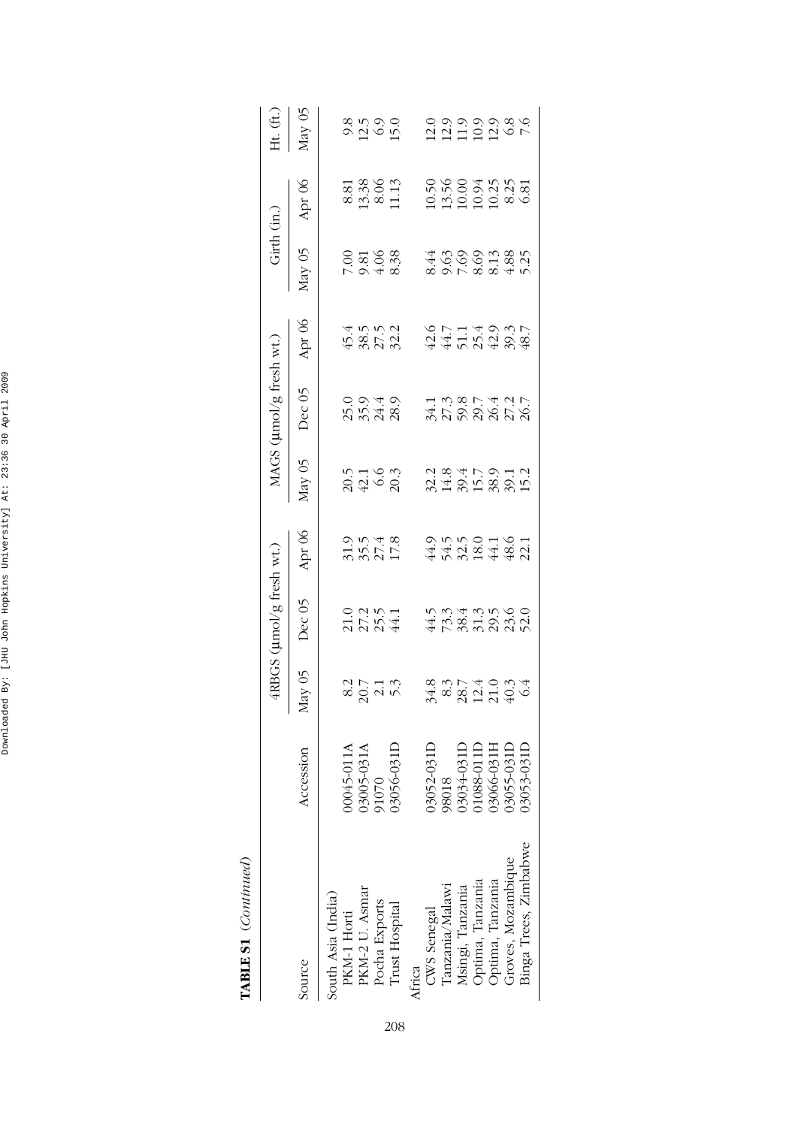| ć<br>Ľ<br>I |  |
|-------------|--|

|                       |        | 4RBGS (umol/g fresh wt.)                      |                                      |                                                            | MAGS (µmol/g fresh wt.)                                                                                                                                                                                                                                                                                                               |                                                                              |                                      | $Girth$ $(in.)$                  |                               |
|-----------------------|--------|-----------------------------------------------|--------------------------------------|------------------------------------------------------------|---------------------------------------------------------------------------------------------------------------------------------------------------------------------------------------------------------------------------------------------------------------------------------------------------------------------------------------|------------------------------------------------------------------------------|--------------------------------------|----------------------------------|-------------------------------|
| Accession             | May 05 | Dec 05                                        | Apr 06                               | Vay 05                                                     | Dec 05                                                                                                                                                                                                                                                                                                                                | Apr 06                                                                       | Vlay 05                              | Apr 06                           | Ht. $(ft.)$<br>May 05         |
|                       |        |                                               |                                      |                                                            |                                                                                                                                                                                                                                                                                                                                       |                                                                              |                                      |                                  |                               |
| 110-5400              |        |                                               |                                      |                                                            |                                                                                                                                                                                                                                                                                                                                       |                                                                              |                                      |                                  |                               |
| 3005-031              |        |                                               |                                      |                                                            |                                                                                                                                                                                                                                                                                                                                       |                                                                              |                                      |                                  | 8<br>0.21 0.0<br>0.21 0.0     |
|                       |        |                                               |                                      |                                                            |                                                                                                                                                                                                                                                                                                                                       |                                                                              |                                      |                                  |                               |
| 3056-031              |        |                                               |                                      |                                                            |                                                                                                                                                                                                                                                                                                                                       |                                                                              |                                      |                                  |                               |
|                       |        |                                               |                                      |                                                            |                                                                                                                                                                                                                                                                                                                                       |                                                                              |                                      |                                  |                               |
| 3052-031              |        |                                               |                                      |                                                            |                                                                                                                                                                                                                                                                                                                                       |                                                                              |                                      |                                  |                               |
| 8018                  |        |                                               |                                      |                                                            |                                                                                                                                                                                                                                                                                                                                       |                                                                              |                                      |                                  |                               |
|                       |        |                                               |                                      |                                                            |                                                                                                                                                                                                                                                                                                                                       |                                                                              |                                      |                                  |                               |
| 088-011               |        |                                               |                                      |                                                            |                                                                                                                                                                                                                                                                                                                                       |                                                                              |                                      |                                  |                               |
| 3066-031 <sup>1</sup> |        |                                               |                                      |                                                            |                                                                                                                                                                                                                                                                                                                                       |                                                                              |                                      |                                  | 00000000<br>1111010           |
| 3055-0311             |        |                                               |                                      |                                                            |                                                                                                                                                                                                                                                                                                                                       |                                                                              |                                      |                                  |                               |
| 3053-0311             |        |                                               |                                      |                                                            |                                                                                                                                                                                                                                                                                                                                       |                                                                              |                                      |                                  |                               |
|                       |        | $3.88740844$ $4.8841496$<br>$80710$<br>$2010$ | 21254<br>2254<br>45858885<br>4585888 | 3.5748<br>3.5748<br>$44325$<br>$44325$<br>$4431$<br>$4431$ | $\begin{array}{c} 2.38 \\ 2.48 \\ 2.59 \\ 2.59 \\ 2.59 \\ 2.59 \\ 2.59 \\ 2.59 \\ 2.59 \\ 2.59 \\ 2.59 \\ 2.59 \\ 2.59 \\ 2.59 \\ 2.59 \\ 2.59 \\ 2.59 \\ 2.59 \\ 2.59 \\ 2.59 \\ 2.59 \\ 2.59 \\ 2.59 \\ 2.59 \\ 2.59 \\ 2.59 \\ 2.59 \\ 2.59 \\ 2.59 \\ 2.59 \\ 2.59 \\ 2.59 \\ 2.59 \\ 2.59 \\ 2.59 \\ 2.$<br>20.1<br>42.6<br>20.3 | 0,040<br>5,048<br>2,048<br>1 3 3 5 4 5 1 5<br>4 5 9 9 9 5 9<br>3 5 9 9 9 9 9 | 4452484<br>6445488<br>45552<br>48552 | 00 30 30<br>00 30 30<br>00 30 30 | 8.33<br>13.36<br>11.3<br>11.3 |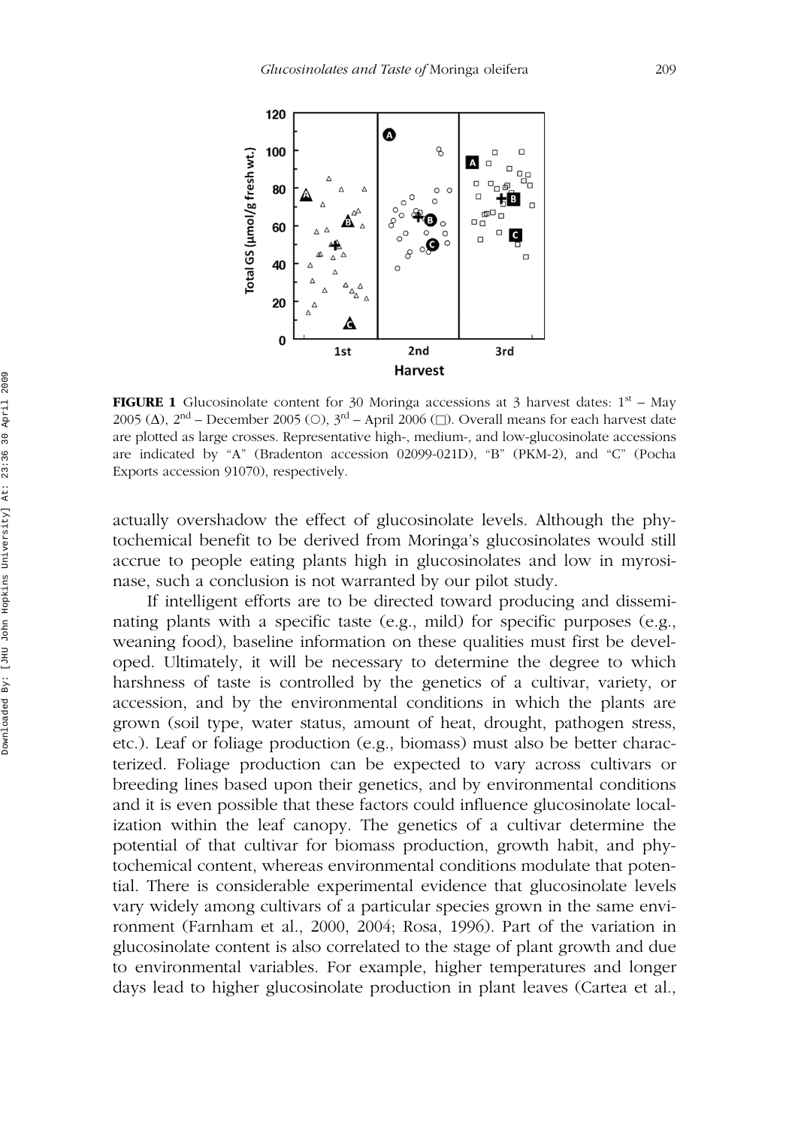

**FIGURE 1** Glucosinolate content for 30 Moringa accessions at 3 harvest dates:  $1<sup>st</sup> - May$ 2005 (Δ), 2<sup>nd</sup> – December 2005 (○), 3<sup>rd</sup> – April 2006 (□). Overall means for each harvest date are plotted as large crosses. Representative high-, medium-, and low-glucosinolate accessions are indicated by "A" (Bradenton accession 02099-021D), "B" (PKM-2), and "C" (Pocha Exports accession 91070), respectively.

actually overshadow the effect of glucosinolate levels. Although the phytochemical benefit to be derived from Moringa's glucosinolates would still accrue to people eating plants high in glucosinolates and low in myrosinase, such a conclusion is not warranted by our pilot study.

If intelligent efforts are to be directed toward producing and disseminating plants with a specific taste (e.g., mild) for specific purposes (e.g., weaning food), baseline information on these qualities must first be developed. Ultimately, it will be necessary to determine the degree to which harshness of taste is controlled by the genetics of a cultivar, variety, or accession, and by the environmental conditions in which the plants are grown (soil type, water status, amount of heat, drought, pathogen stress, etc.). Leaf or foliage production (e.g., biomass) must also be better characterized. Foliage production can be expected to vary across cultivars or breeding lines based upon their genetics, and by environmental conditions and it is even possible that these factors could influence glucosinolate localization within the leaf canopy. The genetics of a cultivar determine the potential of that cultivar for biomass production, growth habit, and phytochemical content, whereas environmental conditions modulate that potential. There is considerable experimental evidence that glucosinolate levels vary widely among cultivars of a particular species grown in the same environment (Farnham et al., 2000, 2004; Rosa, 1996). Part of the variation in glucosinolate content is also correlated to the stage of plant growth and due to environmental variables. For example, higher temperatures and longer days lead to higher glucosinolate production in plant leaves (Cartea et al.,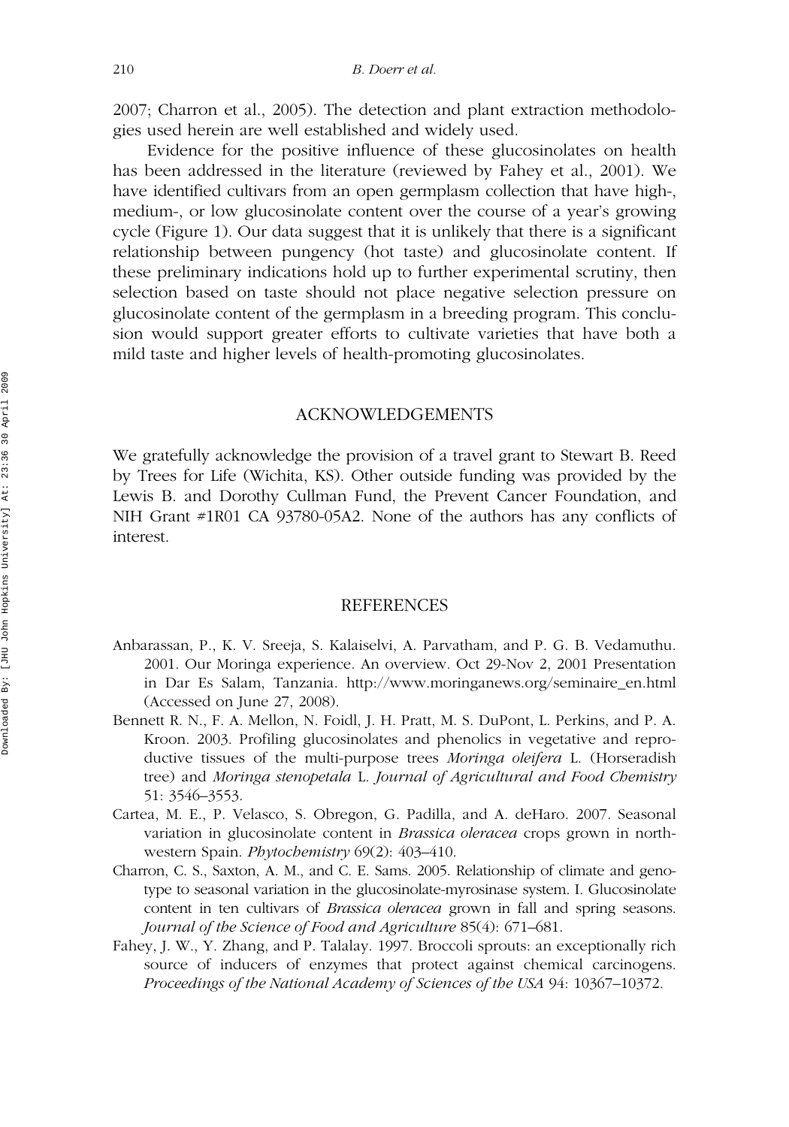2007; Charron et al., 2005). The detection and plant extraction methodologies used herein are well established and widely used.

Evidence for the positive influence of these glucosinolates on health has been addressed in the literature (reviewed by Fahey et al., 2001). We have identified cultivars from an open germplasm collection that have high-, medium-, or low glucosinolate content over the course of a year's growing cycle (Figure 1). Our data suggest that it is unlikely that there is a significant relationship between pungency (hot taste) and glucosinolate content. If these preliminary indications hold up to further experimental scrutiny, then selection based on taste should not place negative selection pressure on glucosinolate content of the germplasm in a breeding program. This conclusion would support greater efforts to cultivate varieties that have both a mild taste and higher levels of health-promoting glucosinolates.

#### ACKNOWLEDGEMENTS

We gratefully acknowledge the provision of a travel grant to Stewart B. Reed by Trees for Life (Wichita, KS). Other outside funding was provided by the Lewis B. and Dorothy Cullman Fund, the Prevent Cancer Foundation, and NIH Grant #1R01 CA 93780-05A2. None of the authors has any conflicts of interest.

#### REFERENCES

- Anbarassan, P., K. V. Sreeja, S. Kalaiselvi, A. Parvatham, and P. G. B. Vedamuthu. 2001. Our Moringa experience. An overview. Oct 29-Nov 2, 2001 Presentation in Dar Es Salam, Tanzania. http://www.moringanews.org/seminaire\_en.html (Accessed on June 27, 2008).
- Bennett R. N., F. A. Mellon, N. Foidl, J. H. Pratt, M. S. DuPont, L. Perkins, and P. A. Kroon. 2003. Profiling glucosinolates and phenolics in vegetative and reproductive tissues of the multi-purpose trees *Moringa oleifera* L. (Horseradish tree) and *Moringa stenopetala* L. *Journal of Agricultural and Food Chemistry* 51: 3546–3553.
- Cartea, M. E., P. Velasco, S. Obregon, G. Padilla, and A. deHaro. 2007. Seasonal variation in glucosinolate content in *Brassica oleracea* crops grown in northwestern Spain. *Phytochemistry* 69(2): 403–410.
- Charron, C. S., Saxton, A. M., and C. E. Sams. 2005. Relationship of climate and genotype to seasonal variation in the glucosinolate-myrosinase system. I. Glucosinolate content in ten cultivars of *Brassica oleracea* grown in fall and spring seasons. *Journal of the Science of Food and Agriculture* 85(4): 671–681.
- Fahey, J. W., Y. Zhang, and P. Talalay. 1997. Broccoli sprouts: an exceptionally rich source of inducers of enzymes that protect against chemical carcinogens. *Proceedings of the National Academy of Sciences of the USA* 94: 10367–10372.